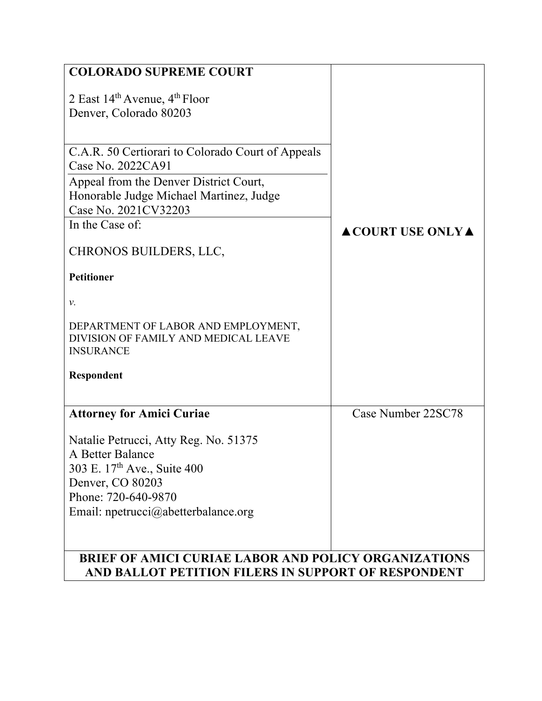| <b>COLORADO SUPREME COURT</b>                                                                   |                         |  |  |  |
|-------------------------------------------------------------------------------------------------|-------------------------|--|--|--|
| 2 East $14^{\text{th}}$ Avenue, $4^{\text{th}}$ Floor                                           |                         |  |  |  |
| Denver, Colorado 80203                                                                          |                         |  |  |  |
|                                                                                                 |                         |  |  |  |
| C.A.R. 50 Certiorari to Colorado Court of Appeals                                               |                         |  |  |  |
| Case No. 2022CA91                                                                               |                         |  |  |  |
| Appeal from the Denver District Court,                                                          |                         |  |  |  |
| Honorable Judge Michael Martinez, Judge                                                         |                         |  |  |  |
| Case No. 2021CV32203                                                                            |                         |  |  |  |
| In the Case of:                                                                                 | <b>ACOURT USE ONLYA</b> |  |  |  |
| CHRONOS BUILDERS, LLC,                                                                          |                         |  |  |  |
| <b>Petitioner</b>                                                                               |                         |  |  |  |
| ν.                                                                                              |                         |  |  |  |
| DEPARTMENT OF LABOR AND EMPLOYMENT,<br>DIVISION OF FAMILY AND MEDICAL LEAVE<br><b>INSURANCE</b> |                         |  |  |  |
| Respondent                                                                                      |                         |  |  |  |
|                                                                                                 |                         |  |  |  |
| <b>Attorney for Amici Curiae</b>                                                                | Case Number 22SC78      |  |  |  |
| Natalie Petrucci, Atty Reg. No. 51375                                                           |                         |  |  |  |
| A Better Balance                                                                                |                         |  |  |  |
| 303 E. 17th Ave., Suite 400                                                                     |                         |  |  |  |
| Denver, CO 80203                                                                                |                         |  |  |  |
| Phone: 720-640-9870                                                                             |                         |  |  |  |
| Email: npetrucci@abetterbalance.org                                                             |                         |  |  |  |
|                                                                                                 |                         |  |  |  |
|                                                                                                 |                         |  |  |  |
| <b>BRIEF OF AMICI CURIAE LABOR AND POLICY ORGANIZATIONS</b>                                     |                         |  |  |  |
| AND BALLOT PETITION FILERS IN SUPPORT OF RESPONDENT                                             |                         |  |  |  |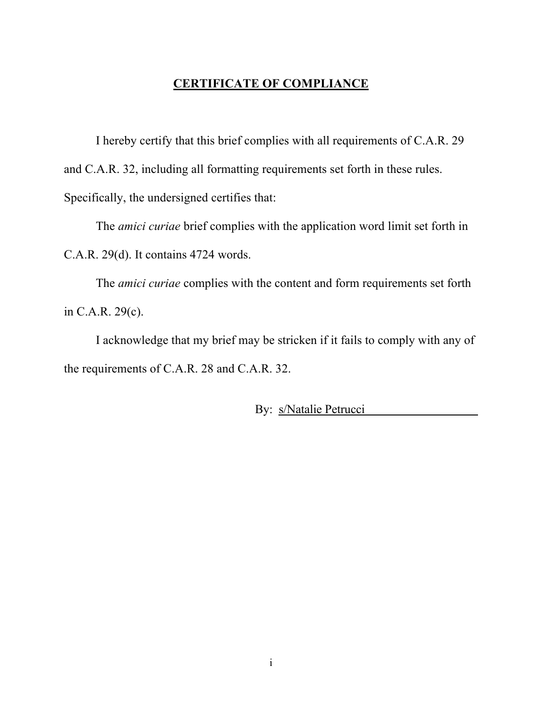## **CERTIFICATE OF COMPLIANCE**

I hereby certify that this brief complies with all requirements of C.A.R. 29 and C.A.R. 32, including all formatting requirements set forth in these rules. Specifically, the undersigned certifies that:

The *amici curiae* brief complies with the application word limit set forth in C.A.R. 29(d). It contains 4724 words.

The *amici curiae* complies with the content and form requirements set forth in C.A.R. 29(c).

I acknowledge that my brief may be stricken if it fails to comply with any of the requirements of C.A.R. 28 and C.A.R. 32.

By: s/Natalie Petrucci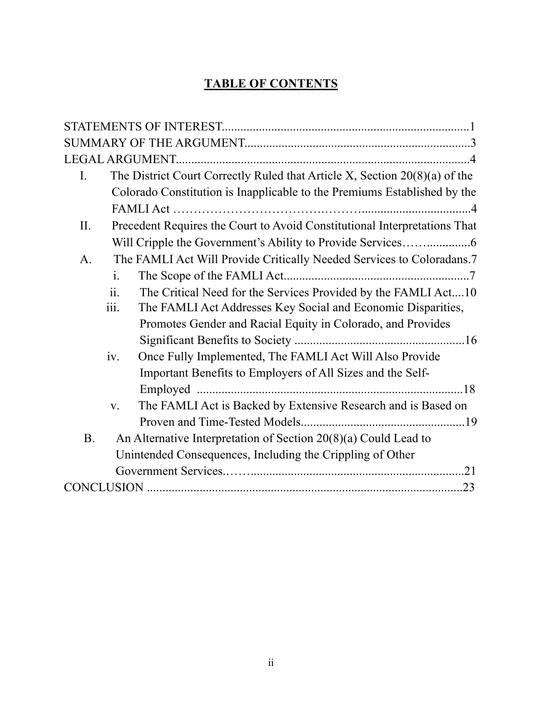# **TABLE OF CONTENTS**

| The District Court Correctly Ruled that Article X, Section $20(8)(a)$ of the<br>I. |
|------------------------------------------------------------------------------------|
| Colorado Constitution is Inapplicable to the Premiums Established by the           |
|                                                                                    |
| Precedent Requires the Court to Avoid Constitutional Interpretations That<br>II.   |
|                                                                                    |
| The FAMLI Act Will Provide Critically Needed Services to Coloradans.7<br>A.        |
| $\mathbf{i}$ .                                                                     |
| ii.<br>The Critical Need for the Services Provided by the FAMLI Act10              |
| iii.<br>The FAMLI Act Addresses Key Social and Economic Disparities,               |
| Promotes Gender and Racial Equity in Colorado, and Provides                        |
|                                                                                    |
| Once Fully Implemented, The FAMLI Act Will Also Provide<br>iv.                     |
| Important Benefits to Employers of All Sizes and the Self-                         |
|                                                                                    |
| The FAMLI Act is Backed by Extensive Research and is Based on<br>$V_{\bullet}$     |
|                                                                                    |
| An Alternative Interpretation of Section $20(8)(a)$ Could Lead to<br><b>B.</b>     |
| Unintended Consequences, Including the Crippling of Other                          |
|                                                                                    |
|                                                                                    |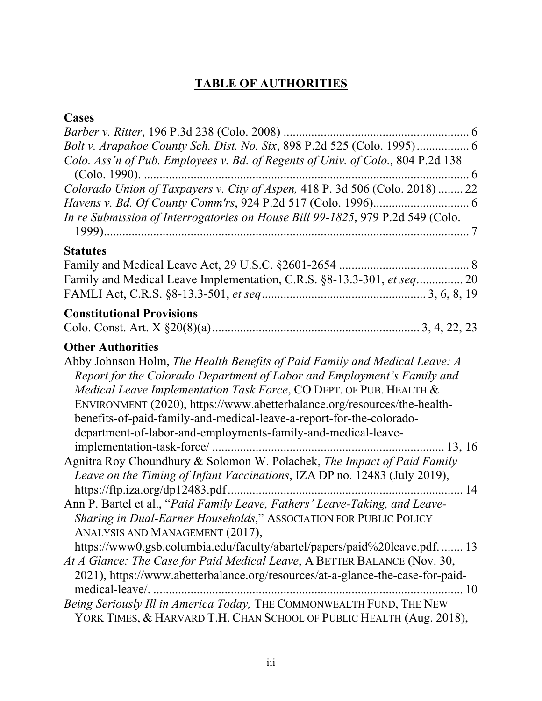# **TABLE OF AUTHORITIES**

# **Cases**

| Bolt v. Arapahoe County Sch. Dist. No. Six, 898 P.2d 525 (Colo. 1995) 6<br>Colo. Ass'n of Pub. Employees v. Bd. of Regents of Univ. of Colo., 804 P.2d 138                                                                                                                                                                                                                                                                                                                   |
|------------------------------------------------------------------------------------------------------------------------------------------------------------------------------------------------------------------------------------------------------------------------------------------------------------------------------------------------------------------------------------------------------------------------------------------------------------------------------|
| In re Submission of Interrogatories on House Bill 99-1825, 979 P.2d 549 (Colo.                                                                                                                                                                                                                                                                                                                                                                                               |
| <b>Statutes</b><br>Family and Medical Leave Implementation, C.R.S. §8-13.3-301, et seq 20                                                                                                                                                                                                                                                                                                                                                                                    |
| <b>Constitutional Provisions</b>                                                                                                                                                                                                                                                                                                                                                                                                                                             |
| <b>Other Authorities</b><br>Abby Johnson Holm, The Health Benefits of Paid Family and Medical Leave: A<br>Report for the Colorado Department of Labor and Employment's Family and<br>Medical Leave Implementation Task Force, CO DEPT. OF PUB. HEALTH &<br>ENVIRONMENT (2020), https://www.abetterbalance.org/resources/the-health-<br>benefits-of-paid-family-and-medical-leave-a-report-for-the-colorado-<br>department-of-labor-and-employments-family-and-medical-leave- |
| Agnitra Roy Choundhury & Solomon W. Polachek, The Impact of Paid Family<br>Leave on the Timing of Infant Vaccinations, IZA DP no. 12483 (July 2019),                                                                                                                                                                                                                                                                                                                         |
| Ann P. Bartel et al., "Paid Family Leave, Fathers' Leave-Taking, and Leave-<br>Sharing in Dual-Earner Households," ASSOCIATION FOR PUBLIC POLICY<br>ANALYSIS AND MANAGEMENT (2017),                                                                                                                                                                                                                                                                                          |
| https://www0.gsb.columbia.edu/faculty/abartel/papers/paid%20leave.pdf.  13<br>At A Glance: The Case for Paid Medical Leave, A BETTER BALANCE (Nov. 30,<br>2021), https://www.abetterbalance.org/resources/at-a-glance-the-case-for-paid-<br>medical-leave/.<br>10                                                                                                                                                                                                            |
| Being Seriously Ill in America Today, THE COMMONWEALTH FUND, THE NEW<br>YORK TIMES, & HARVARD T.H. CHAN SCHOOL OF PUBLIC HEALTH (Aug. 2018),                                                                                                                                                                                                                                                                                                                                 |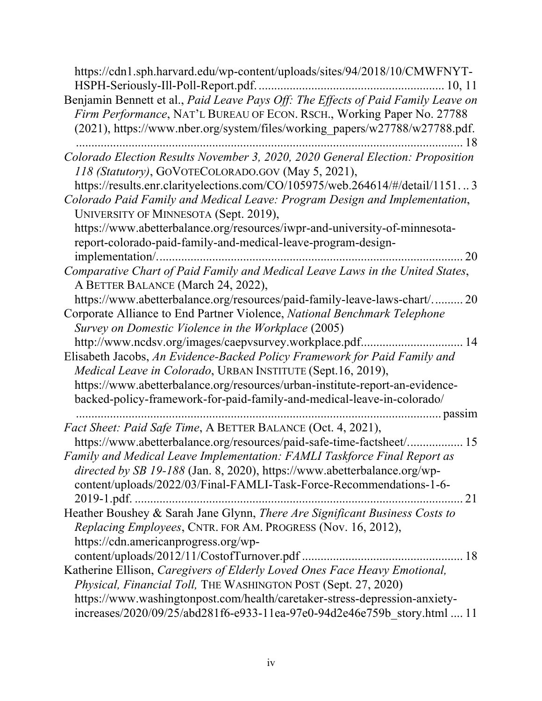| https://cdn1.sph.harvard.edu/wp-content/uploads/sites/94/2018/10/CMWFNYT-                                                                                                                                                                  |
|--------------------------------------------------------------------------------------------------------------------------------------------------------------------------------------------------------------------------------------------|
| Benjamin Bennett et al., Paid Leave Pays Off: The Effects of Paid Family Leave on<br>Firm Performance, NAT'L BUREAU OF ECON. RSCH., Working Paper No. 27788<br>(2021), https://www.nber.org/system/files/working_papers/w27788/w27788.pdf. |
| Colorado Election Results November 3, 2020, 2020 General Election: Proposition                                                                                                                                                             |
| 118 (Statutory), GOVOTECOLORADO.GOV (May 5, 2021),                                                                                                                                                                                         |
| https://results.enr.clarityelections.com/CO/105975/web.264614/#/detail/11513                                                                                                                                                               |
| Colorado Paid Family and Medical Leave: Program Design and Implementation,<br>UNIVERSITY OF MINNESOTA (Sept. 2019),                                                                                                                        |
| https://www.abetterbalance.org/resources/iwpr-and-university-of-minnesota-<br>report-colorado-paid-family-and-medical-leave-program-design-                                                                                                |
| 20<br>implementation/                                                                                                                                                                                                                      |
| Comparative Chart of Paid Family and Medical Leave Laws in the United States,<br>A BETTER BALANCE (March 24, 2022),                                                                                                                        |
| https://www.abetterbalance.org/resources/paid-family-leave-laws-chart/ 20                                                                                                                                                                  |
| Corporate Alliance to End Partner Violence, National Benchmark Telephone                                                                                                                                                                   |
| Survey on Domestic Violence in the Workplace (2005)                                                                                                                                                                                        |
| http://www.ncdsv.org/images/caepvsurvey.workplace.pdf<br>14                                                                                                                                                                                |
| Elisabeth Jacobs, An Evidence-Backed Policy Framework for Paid Family and                                                                                                                                                                  |
| Medical Leave in Colorado, URBAN INSTITUTE (Sept.16, 2019),                                                                                                                                                                                |
| https://www.abetterbalance.org/resources/urban-institute-report-an-evidence-                                                                                                                                                               |
| backed-policy-framework-for-paid-family-and-medical-leave-in-colorado/                                                                                                                                                                     |
| Fact Sheet: Paid Safe Time, A BETTER BALANCE (Oct. 4, 2021),                                                                                                                                                                               |
| https://www.abetterbalance.org/resources/paid-safe-time-factsheet/ 15                                                                                                                                                                      |
| Family and Medical Leave Implementation: FAMLI Taskforce Final Report as                                                                                                                                                                   |
| directed by SB 19-188 (Jan. 8, 2020), https://www.abetterbalance.org/wp-                                                                                                                                                                   |
| content/uploads/2022/03/Final-FAMLI-Task-Force-Recommendations-1-6-                                                                                                                                                                        |
|                                                                                                                                                                                                                                            |
| Heather Boushey & Sarah Jane Glynn, There Are Significant Business Costs to                                                                                                                                                                |
| Replacing Employees, CNTR. FOR AM. PROGRESS (Nov. 16, 2012),                                                                                                                                                                               |
| https://cdn.americanprogress.org/wp-                                                                                                                                                                                                       |
|                                                                                                                                                                                                                                            |
| Katherine Ellison, Caregivers of Elderly Loved Ones Face Heavy Emotional,                                                                                                                                                                  |
| Physical, Financial Toll, THE WASHINGTON POST (Sept. 27, 2020)                                                                                                                                                                             |
| https://www.washingtonpost.com/health/caretaker-stress-depression-anxiety-                                                                                                                                                                 |
| increases/2020/09/25/abd281f6-e933-11ea-97e0-94d2e46e759b_story.html  11                                                                                                                                                                   |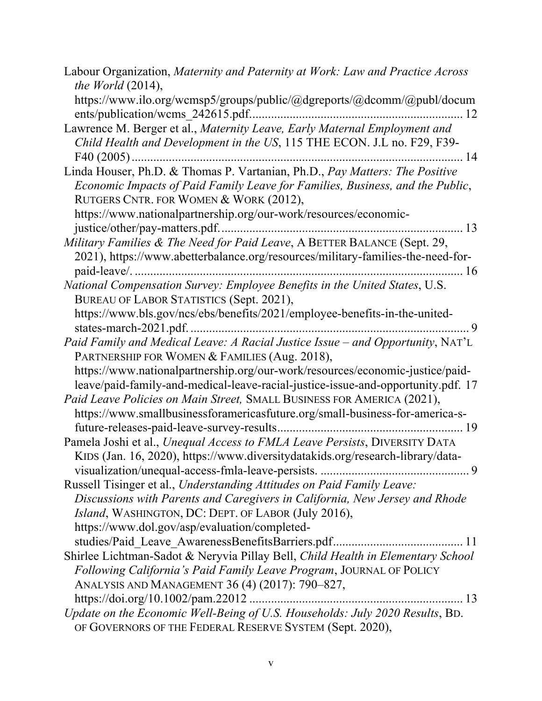| Labour Organization, Maternity and Paternity at Work: Law and Practice Across<br>the World $(2014)$ ,                                                                                                  |
|--------------------------------------------------------------------------------------------------------------------------------------------------------------------------------------------------------|
| https://www.ilo.org/wcmsp5/groups/public/@dgreports/@dcomm/@publ/docum                                                                                                                                 |
| ents/publication/wcms 242615.pdf                                                                                                                                                                       |
| Lawrence M. Berger et al., Maternity Leave, Early Maternal Employment and                                                                                                                              |
| Child Health and Development in the US, 115 THE ECON. J.L no. F29, F39-                                                                                                                                |
|                                                                                                                                                                                                        |
| Linda Houser, Ph.D. & Thomas P. Vartanian, Ph.D., Pay Matters: The Positive<br>Economic Impacts of Paid Family Leave for Families, Business, and the Public,<br>RUTGERS CNTR. FOR WOMEN & WORK (2012), |
| https://www.nationalpartnership.org/our-work/resources/economic-                                                                                                                                       |
| 13                                                                                                                                                                                                     |
| Military Families & The Need for Paid Leave, A BETTER BALANCE (Sept. 29,                                                                                                                               |
| 2021), https://www.abetterbalance.org/resources/military-families-the-need-for-                                                                                                                        |
| 16                                                                                                                                                                                                     |
| National Compensation Survey: Employee Benefits in the United States, U.S.                                                                                                                             |
| BUREAU OF LABOR STATISTICS (Sept. 2021),                                                                                                                                                               |
| https://www.bls.gov/ncs/ebs/benefits/2021/employee-benefits-in-the-united-                                                                                                                             |
| . 9                                                                                                                                                                                                    |
| Paid Family and Medical Leave: A Racial Justice Issue - and Opportunity, NAT'L                                                                                                                         |
| PARTNERSHIP FOR WOMEN & FAMILIES (Aug. 2018),                                                                                                                                                          |
| https://www.nationalpartnership.org/our-work/resources/economic-justice/paid-                                                                                                                          |
| leave/paid-family-and-medical-leave-racial-justice-issue-and-opportunity.pdf. 17                                                                                                                       |
| Paid Leave Policies on Main Street, SMALL BUSINESS FOR AMERICA (2021),                                                                                                                                 |
| https://www.smallbusinessforamericasfuture.org/small-business-for-america-s-                                                                                                                           |
| future-releases-paid-leave-survey-results<br>19                                                                                                                                                        |
| Pamela Joshi et al., Unequal Access to FMLA Leave Persists, DIVERSITY DATA                                                                                                                             |
| KIDS (Jan. 16, 2020), https://www.diversitydatakids.org/research-library/data-                                                                                                                         |
|                                                                                                                                                                                                        |
| Russell Tisinger et al., Understanding Attitudes on Paid Family Leave:                                                                                                                                 |
| Discussions with Parents and Caregivers in California, New Jersey and Rhode                                                                                                                            |
| Island, WASHINGTON, DC: DEPT. OF LABOR (July 2016),                                                                                                                                                    |
| https://www.dol.gov/asp/evaluation/completed-                                                                                                                                                          |
|                                                                                                                                                                                                        |
| Shirlee Lichtman-Sadot & Neryvia Pillay Bell, Child Health in Elementary School                                                                                                                        |
| Following California's Paid Family Leave Program, JOURNAL OF POLICY                                                                                                                                    |
| ANALYSIS AND MANAGEMENT 36 (4) (2017): 790-827,                                                                                                                                                        |
|                                                                                                                                                                                                        |
| Update on the Economic Well-Being of U.S. Households: July 2020 Results, BD.                                                                                                                           |
| OF GOVERNORS OF THE FEDERAL RESERVE SYSTEM (Sept. 2020),                                                                                                                                               |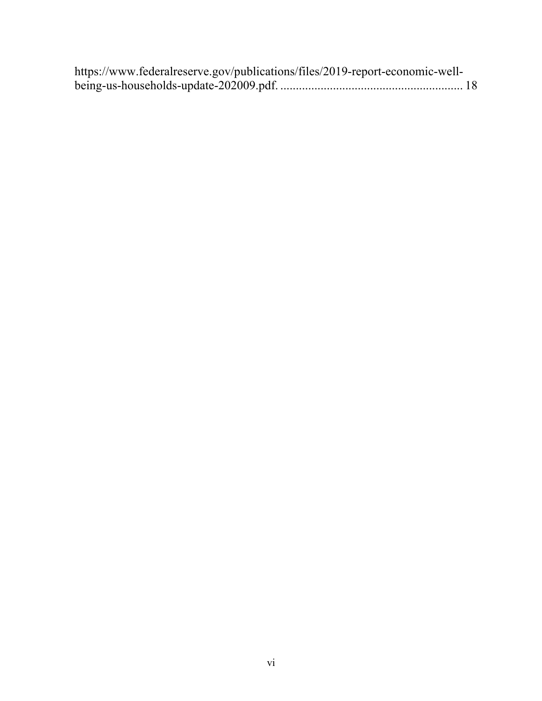| https://www.federalreserve.gov/publications/files/2019-report-economic-well- |  |
|------------------------------------------------------------------------------|--|
|                                                                              |  |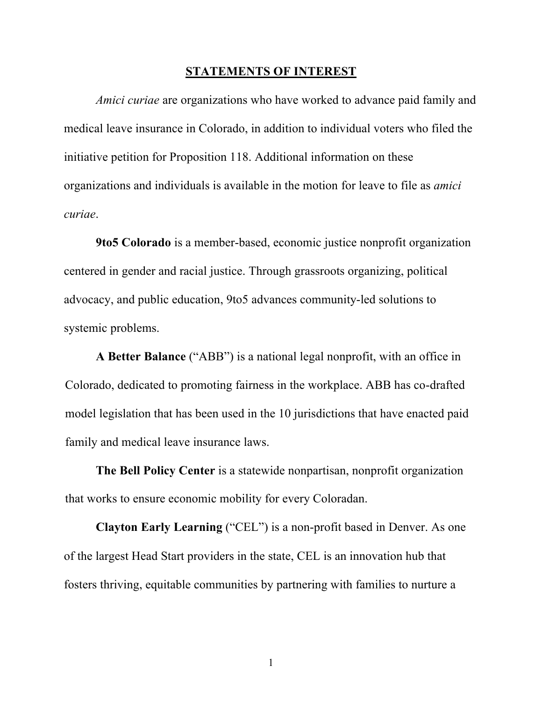#### **STATEMENTS OF INTEREST**

*Amici curiae* are organizations who have worked to advance paid family and medical leave insurance in Colorado, in addition to individual voters who filed the initiative petition for Proposition 118. Additional information on these organizations and individuals is available in the motion for leave to file as *amici curiae*.

**9to5 Colorado** is a member-based, economic justice nonprofit organization centered in gender and racial justice. Through grassroots organizing, political advocacy, and public education, 9to5 advances community-led solutions to systemic problems.

**A Better Balance** ("ABB") is a national legal nonprofit, with an office in Colorado, dedicated to promoting fairness in the workplace. ABB has co-drafted model legislation that has been used in the 10 jurisdictions that have enacted paid family and medical leave insurance laws.

**The Bell Policy Center** is a statewide nonpartisan, nonprofit organization that works to ensure economic mobility for every Coloradan.

**Clayton Early Learning** ("CEL") is a non-profit based in Denver. As one of the largest Head Start providers in the state, CEL is an innovation hub that fosters thriving, equitable communities by partnering with families to nurture a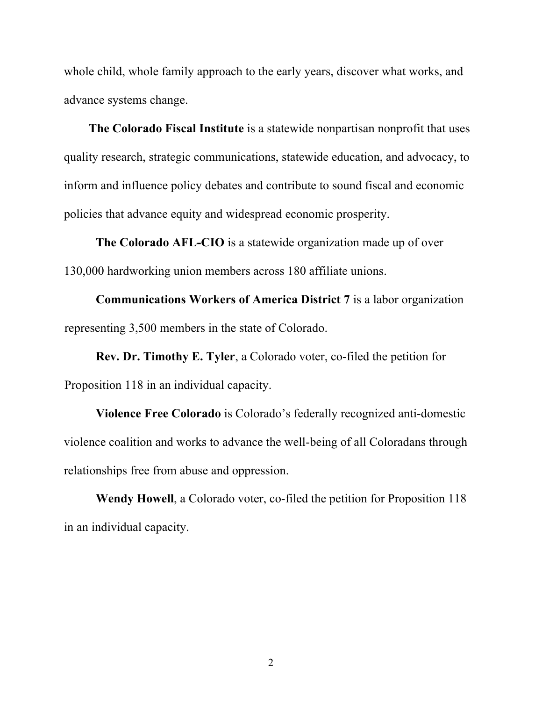whole child, whole family approach to the early years, discover what works, and advance systems change.

**The Colorado Fiscal Institute** is a statewide nonpartisan nonprofit that uses quality research, strategic communications, statewide education, and advocacy, to inform and influence policy debates and contribute to sound fiscal and economic policies that advance equity and widespread economic prosperity.

**The Colorado AFL-CIO** is a statewide organization made up of over 130,000 hardworking union members across 180 affiliate unions.

**Communications Workers of America District 7** is a labor organization representing 3,500 members in the state of Colorado.

**Rev. Dr. Timothy E. Tyler**, a Colorado voter, co-filed the petition for Proposition 118 in an individual capacity.

**Violence Free Colorado** is Colorado's federally recognized anti-domestic violence coalition and works to advance the well-being of all Coloradans through relationships free from abuse and oppression.

**Wendy Howell**, a Colorado voter, co-filed the petition for Proposition 118 in an individual capacity.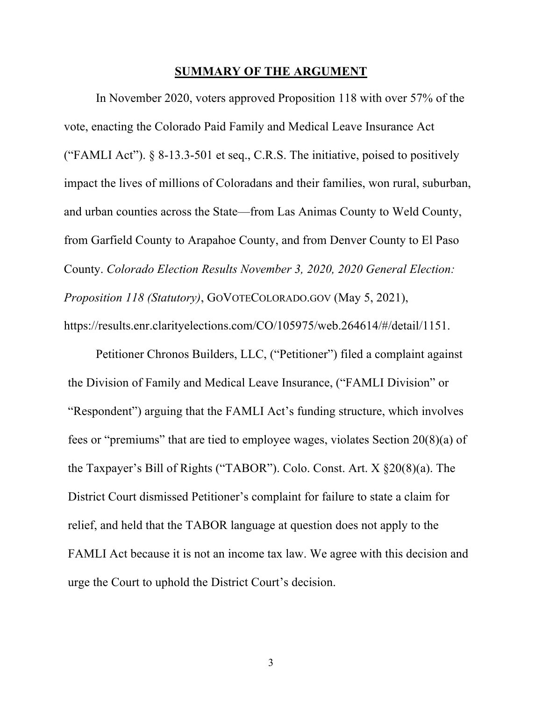#### **SUMMARY OF THE ARGUMENT**

In November 2020, voters approved Proposition 118 with over 57% of the vote, enacting the Colorado Paid Family and Medical Leave Insurance Act ("FAMLI Act").  $\S$  8-13.3-501 et seq., C.R.S. The initiative, poised to positively impact the lives of millions of Coloradans and their families, won rural, suburban, and urban counties across the State—from Las Animas County to Weld County, from Garfield County to Arapahoe County, and from Denver County to El Paso County. *Colorado Election Results November 3, 2020, 2020 General Election: Proposition 118 (Statutory)*, GOVOTECOLORADO.GOV (May 5, 2021), https://results.enr.clarityelections.com/CO/105975/web.264614/#/detail/1151.

Petitioner Chronos Builders, LLC, ("Petitioner") filed a complaint against the Division of Family and Medical Leave Insurance, ("FAMLI Division" or "Respondent") arguing that the FAMLI Act's funding structure, which involves fees or "premiums" that are tied to employee wages, violates Section 20(8)(a) of the Taxpayer's Bill of Rights ("TABOR"). Colo. Const. Art. X §20(8)(a). The District Court dismissed Petitioner's complaint for failure to state a claim for relief, and held that the TABOR language at question does not apply to the FAMLI Act because it is not an income tax law. We agree with this decision and urge the Court to uphold the District Court's decision.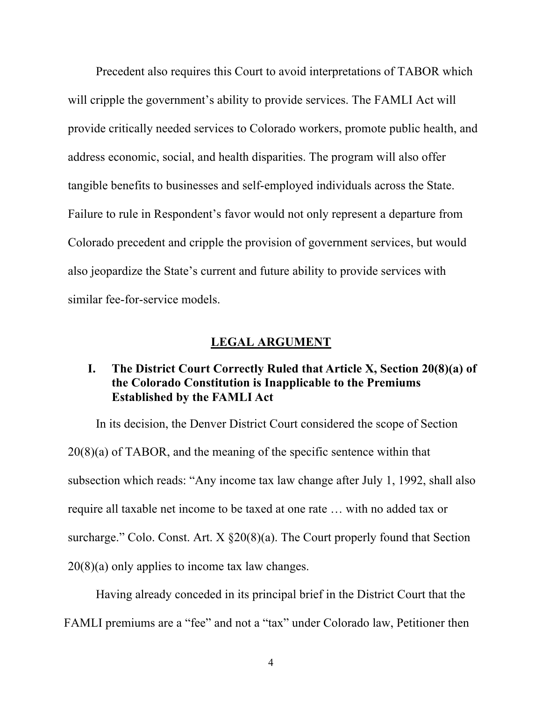Precedent also requires this Court to avoid interpretations of TABOR which will cripple the government's ability to provide services. The FAMLI Act will provide critically needed services to Colorado workers, promote public health, and address economic, social, and health disparities. The program will also offer tangible benefits to businesses and self-employed individuals across the State. Failure to rule in Respondent's favor would not only represent a departure from Colorado precedent and cripple the provision of government services, but would also jeopardize the State's current and future ability to provide services with similar fee-for-service models.

## **LEGAL ARGUMENT**

## **I. The District Court Correctly Ruled that Article X, Section 20(8)(a) of the Colorado Constitution is Inapplicable to the Premiums Established by the FAMLI Act**

In its decision, the Denver District Court considered the scope of Section 20(8)(a) of TABOR, and the meaning of the specific sentence within that subsection which reads: "Any income tax law change after July 1, 1992, shall also require all taxable net income to be taxed at one rate … with no added tax or surcharge." Colo. Const. Art. X §20(8)(a). The Court properly found that Section 20(8)(a) only applies to income tax law changes.

Having already conceded in its principal brief in the District Court that the FAMLI premiums are a "fee" and not a "tax" under Colorado law, Petitioner then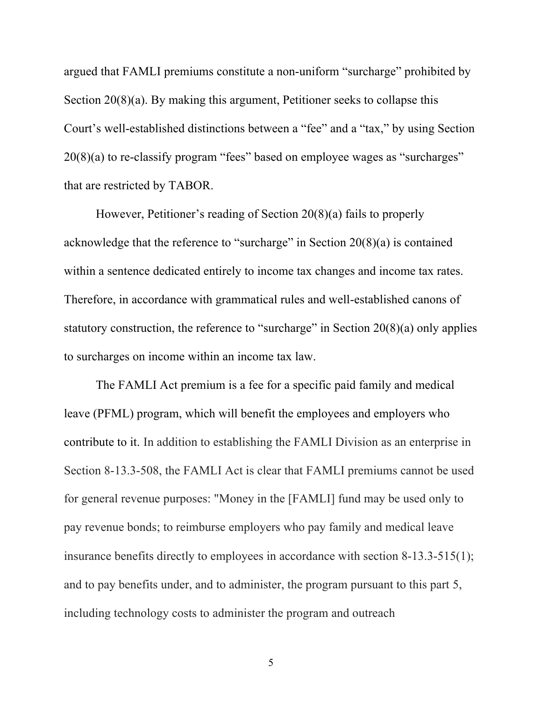argued that FAMLI premiums constitute a non-uniform "surcharge" prohibited by Section 20(8)(a). By making this argument, Petitioner seeks to collapse this Court's well-established distinctions between a "fee" and a "tax," by using Section 20(8)(a) to re-classify program "fees" based on employee wages as "surcharges" that are restricted by TABOR.

However, Petitioner's reading of Section 20(8)(a) fails to properly acknowledge that the reference to "surcharge" in Section  $20(8)(a)$  is contained within a sentence dedicated entirely to income tax changes and income tax rates. Therefore, in accordance with grammatical rules and well-established canons of statutory construction, the reference to "surcharge" in Section  $20(8)(a)$  only applies to surcharges on income within an income tax law.

The FAMLI Act premium is a fee for a specific paid family and medical leave (PFML) program, which will benefit the employees and employers who contribute to it. In addition to establishing the FAMLI Division as an enterprise in Section 8-13.3-508, the FAMLI Act is clear that FAMLI premiums cannot be used for general revenue purposes: "Money in the [FAMLI] fund may be used only to pay revenue bonds; to reimburse employers who pay family and medical leave insurance benefits directly to employees in accordance with section 8-13.3-515(1); and to pay benefits under, and to administer, the program pursuant to this part 5, including technology costs to administer the program and outreach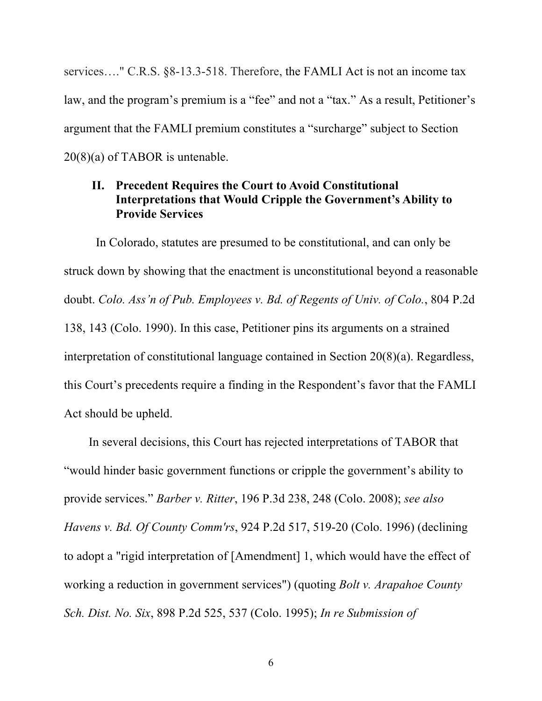services…." C.R.S. §8-13.3-518. Therefore, the FAMLI Act is not an income tax law, and the program's premium is a "fee" and not a "tax." As a result, Petitioner's argument that the FAMLI premium constitutes a "surcharge" subject to Section 20(8)(a) of TABOR is untenable.

## **II. Precedent Requires the Court to Avoid Constitutional Interpretations that Would Cripple the Government's Ability to Provide Services**

In Colorado, statutes are presumed to be constitutional, and can only be struck down by showing that the enactment is unconstitutional beyond a reasonable doubt. *Colo. Ass'n of Pub. Employees v. Bd. of Regents of Univ. of Colo.*, 804 P.2d 138, 143 (Colo. 1990). In this case, Petitioner pins its arguments on a strained interpretation of constitutional language contained in Section 20(8)(a). Regardless, this Court's precedents require a finding in the Respondent's favor that the FAMLI Act should be upheld.

In several decisions, this Court has rejected interpretations of TABOR that "would hinder basic government functions or cripple the government's ability to provide services." *Barber v. Ritter*, 196 P.3d 238, 248 (Colo. 2008); *see also Havens v. Bd. Of County Comm'rs*, 924 P.2d 517, 519-20 (Colo. 1996) (declining to adopt a "rigid interpretation of [Amendment] 1, which would have the effect of working a reduction in government services") (quoting *Bolt v. Arapahoe County Sch. Dist. No. Six*, 898 P.2d 525, 537 (Colo. 1995); *In re Submission of*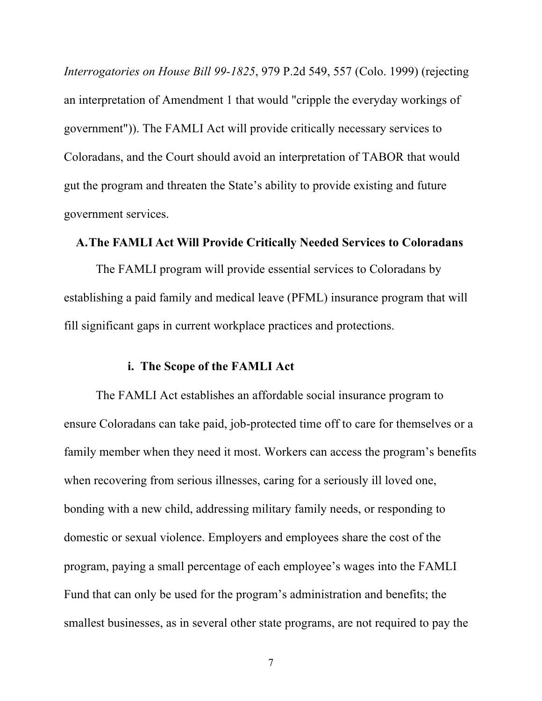*Interrogatories on House Bill 99-1825*, 979 P.2d 549, 557 (Colo. 1999) (rejecting an interpretation of Amendment 1 that would "cripple the everyday workings of government")). The FAMLI Act will provide critically necessary services to Coloradans, and the Court should avoid an interpretation of TABOR that would gut the program and threaten the State's ability to provide existing and future government services.

## **A.The FAMLI Act Will Provide Critically Needed Services to Coloradans**

The FAMLI program will provide essential services to Coloradans by establishing a paid family and medical leave (PFML) insurance program that will fill significant gaps in current workplace practices and protections.

#### **i. The Scope of the FAMLI Act**

The FAMLI Act establishes an affordable social insurance program to ensure Coloradans can take paid, job-protected time off to care for themselves or a family member when they need it most. Workers can access the program's benefits when recovering from serious illnesses, caring for a seriously ill loved one, bonding with a new child, addressing military family needs, or responding to domestic or sexual violence. Employers and employees share the cost of the program, paying a small percentage of each employee's wages into the FAMLI Fund that can only be used for the program's administration and benefits; the smallest businesses, as in several other state programs, are not required to pay the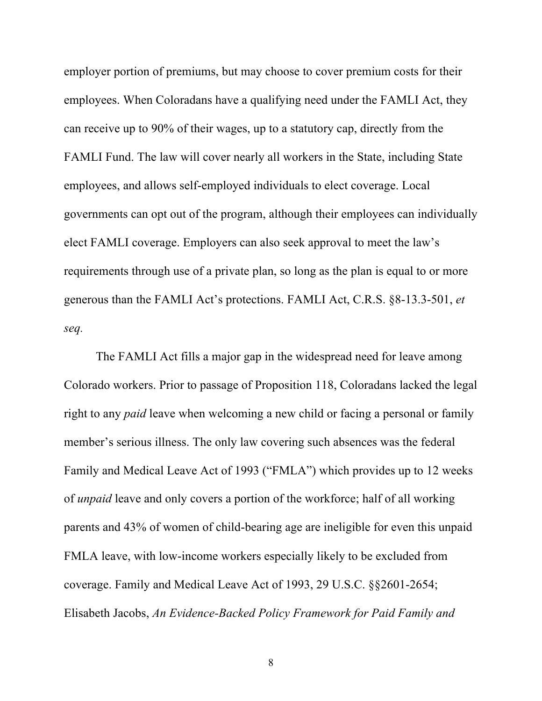employer portion of premiums, but may choose to cover premium costs for their employees. When Coloradans have a qualifying need under the FAMLI Act, they can receive up to 90% of their wages, up to a statutory cap, directly from the FAMLI Fund. The law will cover nearly all workers in the State, including State employees, and allows self-employed individuals to elect coverage. Local governments can opt out of the program, although their employees can individually elect FAMLI coverage. Employers can also seek approval to meet the law's requirements through use of a private plan, so long as the plan is equal to or more generous than the FAMLI Act's protections. FAMLI Act, C.R.S. §8-13.3-501, *et seq.*

The FAMLI Act fills a major gap in the widespread need for leave among Colorado workers. Prior to passage of Proposition 118, Coloradans lacked the legal right to any *paid* leave when welcoming a new child or facing a personal or family member's serious illness. The only law covering such absences was the federal Family and Medical Leave Act of 1993 ("FMLA") which provides up to 12 weeks of *unpaid* leave and only covers a portion of the workforce; half of all working parents and 43% of women of child-bearing age are ineligible for even this unpaid FMLA leave, with low-income workers especially likely to be excluded from coverage. Family and Medical Leave Act of 1993, 29 U.S.C. §§2601-2654; Elisabeth Jacobs, *An Evidence-Backed Policy Framework for Paid Family and*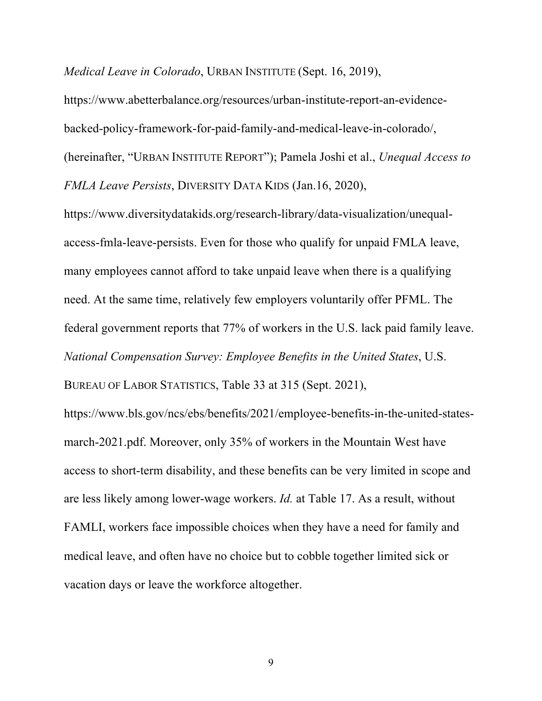*Medical Leave in Colorado*, URBAN INSTITUTE (Sept. 16, 2019),

https://www.abetterbalance.org/resources/urban-institute-report-an-evidencebacked-policy-framework-for-paid-family-and-medical-leave-in-colorado/, (hereinafter, "URBAN INSTITUTE REPORT"); Pamela Joshi et al., *Unequal Access to FMLA Leave Persists*, DIVERSITY DATA KIDS (Jan.16, 2020),

https://www.diversitydatakids.org/research-library/data-visualization/unequalaccess-fmla-leave-persists. Even for those who qualify for unpaid FMLA leave, many employees cannot afford to take unpaid leave when there is a qualifying need. At the same time, relatively few employers voluntarily offer PFML. The federal government reports that 77% of workers in the U.S. lack paid family leave. *National Compensation Survey: Employee Benefits in the United States*, U.S.

BUREAU OF LABOR STATISTICS, Table 33 at 315 (Sept. 2021),

https://www.bls.gov/ncs/ebs/benefits/2021/employee-benefits-in-the-united-statesmarch-2021.pdf. Moreover, only 35% of workers in the Mountain West have access to short-term disability, and these benefits can be very limited in scope and are less likely among lower-wage workers. *Id.* at Table 17. As a result, without FAMLI, workers face impossible choices when they have a need for family and medical leave, and often have no choice but to cobble together limited sick or vacation days or leave the workforce altogether.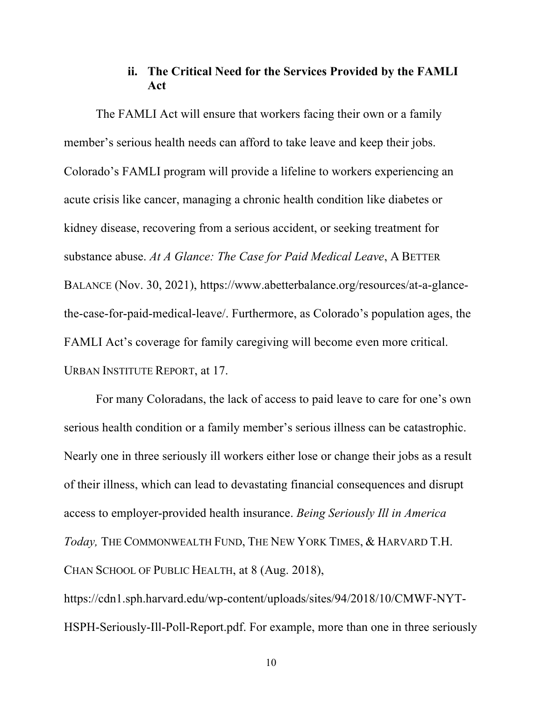# **ii. The Critical Need for the Services Provided by the FAMLI Act**

The FAMLI Act will ensure that workers facing their own or a family member's serious health needs can afford to take leave and keep their jobs. Colorado's FAMLI program will provide a lifeline to workers experiencing an acute crisis like cancer, managing a chronic health condition like diabetes or kidney disease, recovering from a serious accident, or seeking treatment for substance abuse. *At A Glance: The Case for Paid Medical Leave*, A BETTER BALANCE (Nov. 30, 2021), https://www.abetterbalance.org/resources/at-a-glancethe-case-for-paid-medical-leave/. Furthermore, as Colorado's population ages, the FAMLI Act's coverage for family caregiving will become even more critical. URBAN INSTITUTE REPORT, at 17.

For many Coloradans, the lack of access to paid leave to care for one's own serious health condition or a family member's serious illness can be catastrophic. Nearly one in three seriously ill workers either lose or change their jobs as a result of their illness, which can lead to devastating financial consequences and disrupt access to employer-provided health insurance. *Being Seriously Ill in America Today,* THE COMMONWEALTH FUND, THE NEW YORK TIMES, & HARVARD T.H. CHAN SCHOOL OF PUBLIC HEALTH, at 8 (Aug. 2018),

https://cdn1.sph.harvard.edu/wp-content/uploads/sites/94/2018/10/CMWF-NYT-HSPH-Seriously-Ill-Poll-Report.pdf. For example, more than one in three seriously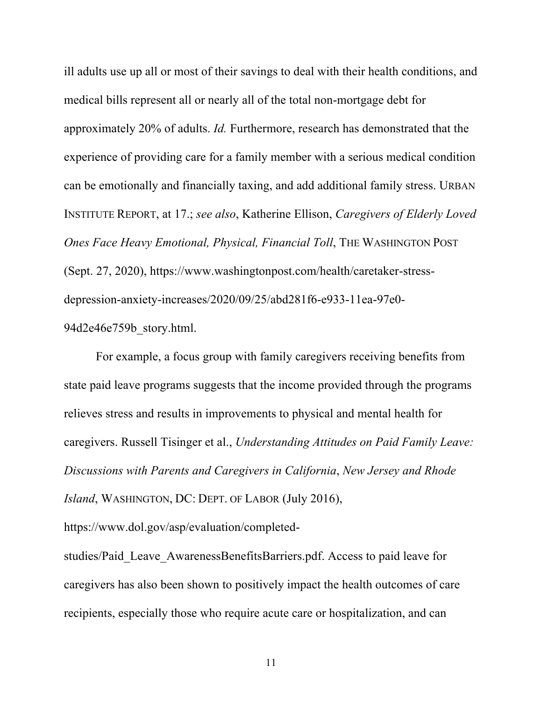ill adults use up all or most of their savings to deal with their health conditions, and medical bills represent all or nearly all of the total non-mortgage debt for approximately 20% of adults. *Id.* Furthermore, research has demonstrated that the experience of providing care for a family member with a serious medical condition can be emotionally and financially taxing, and add additional family stress. URBAN INSTITUTE REPORT, at 17.; *see also*, Katherine Ellison, *Caregivers of Elderly Loved Ones Face Heavy Emotional, Physical, Financial Toll*, THE WASHINGTON POST (Sept. 27, 2020), https://www.washingtonpost.com/health/caretaker-stressdepression-anxiety-increases/2020/09/25/abd281f6-e933-11ea-97e0- 94d2e46e759b\_story.html.

For example, a focus group with family caregivers receiving benefits from state paid leave programs suggests that the income provided through the programs relieves stress and results in improvements to physical and mental health for caregivers. Russell Tisinger et al., *Understanding Attitudes on Paid Family Leave: Discussions with Parents and Caregivers in California*, *New Jersey and Rhode Island*, WASHINGTON, DC: DEPT. OF LABOR (July 2016),

https://www.dol.gov/asp/evaluation/completed-

studies/Paid\_Leave\_AwarenessBenefitsBarriers.pdf. Access to paid leave for caregivers has also been shown to positively impact the health outcomes of care recipients, especially those who require acute care or hospitalization, and can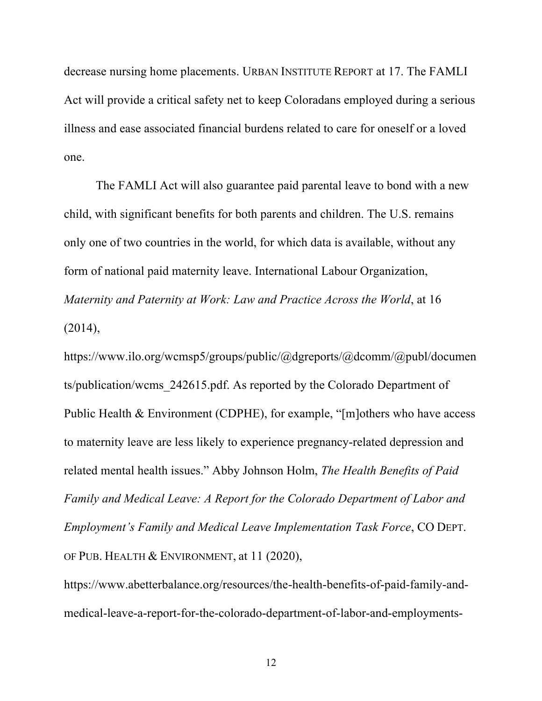decrease nursing home placements. URBAN INSTITUTE REPORT at 17. The FAMLI Act will provide a critical safety net to keep Coloradans employed during a serious illness and ease associated financial burdens related to care for oneself or a loved one.

The FAMLI Act will also guarantee paid parental leave to bond with a new child, with significant benefits for both parents and children. The U.S. remains only one of two countries in the world, for which data is available, without any form of national paid maternity leave. International Labour Organization, *Maternity and Paternity at Work: Law and Practice Across the World*, at 16 (2014),

https://www.ilo.org/wcmsp5/groups/public/@dgreports/@dcomm/@publ/documen ts/publication/wcms\_242615.pdf. As reported by the Colorado Department of Public Health & Environment (CDPHE), for example, "[m]others who have access to maternity leave are less likely to experience pregnancy-related depression and related mental health issues." Abby Johnson Holm, *The Health Benefits of Paid Family and Medical Leave: A Report for the Colorado Department of Labor and Employment's Family and Medical Leave Implementation Task Force*, CO DEPT. OF PUB. HEALTH & ENVIRONMENT, at 11 (2020),

https://www.abetterbalance.org/resources/the-health-benefits-of-paid-family-andmedical-leave-a-report-for-the-colorado-department-of-labor-and-employments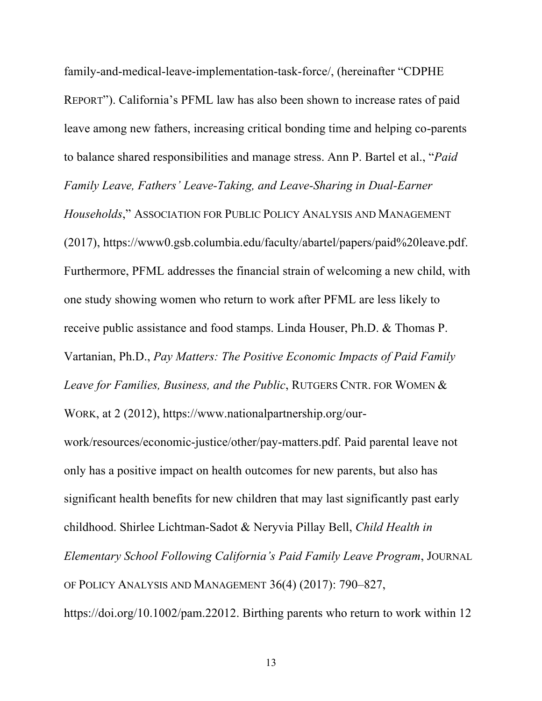family-and-medical-leave-implementation-task-force/, (hereinafter "CDPHE REPORT"). California's PFML law has also been shown to increase rates of paid leave among new fathers, increasing critical bonding time and helping co-parents to balance shared responsibilities and manage stress. Ann P. Bartel et al., "*Paid Family Leave, Fathers' Leave-Taking, and Leave-Sharing in Dual-Earner Households*," ASSOCIATION FOR PUBLIC POLICY ANALYSIS AND MANAGEMENT (2017), https://www0.gsb.columbia.edu/faculty/abartel/papers/paid%20leave.pdf. Furthermore, PFML addresses the financial strain of welcoming a new child, with one study showing women who return to work after PFML are less likely to receive public assistance and food stamps. Linda Houser, Ph.D. & Thomas P. Vartanian, Ph.D., *Pay Matters: The Positive Economic Impacts of Paid Family Leave for Families, Business, and the Public*, RUTGERS CNTR. FOR WOMEN &

work/resources/economic-justice/other/pay-matters.pdf. Paid parental leave not only has a positive impact on health outcomes for new parents, but also has significant health benefits for new children that may last significantly past early childhood. Shirlee Lichtman-Sadot & Neryvia Pillay Bell, *Child Health in* 

WORK, at 2 (2012), https://www.nationalpartnership.org/our-

*Elementary School Following California's Paid Family Leave Program*, JOURNAL OF POLICY ANALYSIS AND MANAGEMENT 36(4) (2017): 790–827,

https://doi.org/10.1002/pam.22012. Birthing parents who return to work within 12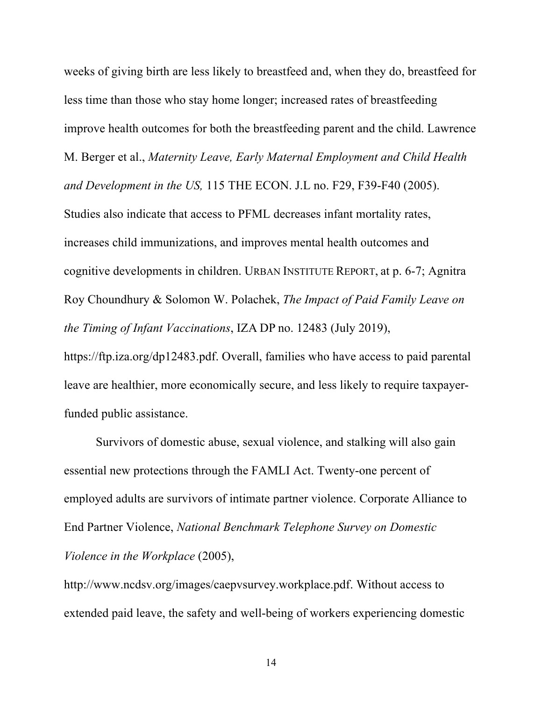weeks of giving birth are less likely to breastfeed and, when they do, breastfeed for less time than those who stay home longer; increased rates of breastfeeding improve health outcomes for both the breastfeeding parent and the child. Lawrence M. Berger et al., *Maternity Leave, Early Maternal Employment and Child Health and Development in the US,* 115 THE ECON. J.L no. F29, F39-F40 (2005). Studies also indicate that access to PFML decreases infant mortality rates, increases child immunizations, and improves mental health outcomes and cognitive developments in children. URBAN INSTITUTE REPORT, at p. 6-7; Agnitra Roy Choundhury & Solomon W. Polachek, *The Impact of Paid Family Leave on the Timing of Infant Vaccinations*, IZA DP no. 12483 (July 2019), https://ftp.iza.org/dp12483.pdf. Overall, families who have access to paid parental leave are healthier, more economically secure, and less likely to require taxpayerfunded public assistance.

Survivors of domestic abuse, sexual violence, and stalking will also gain essential new protections through the FAMLI Act. Twenty-one percent of employed adults are survivors of intimate partner violence. Corporate Alliance to End Partner Violence, *National Benchmark Telephone Survey on Domestic Violence in the Workplace* (2005),

http://www.ncdsv.org/images/caepvsurvey.workplace.pdf. Without access to extended paid leave, the safety and well-being of workers experiencing domestic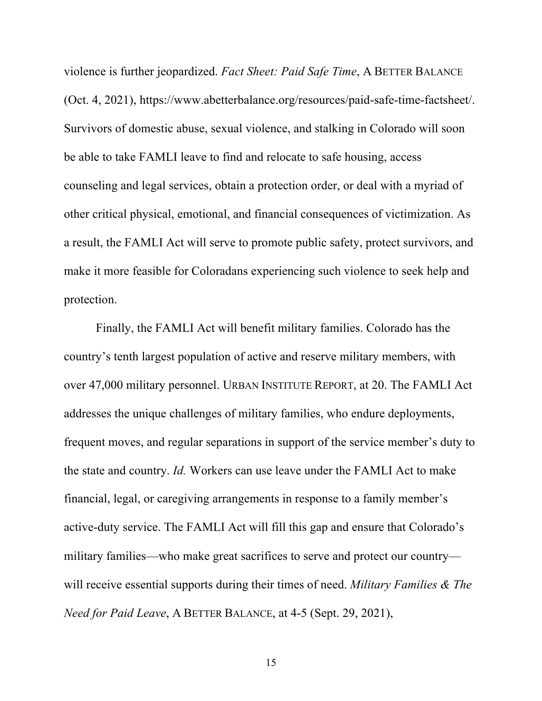violence is further jeopardized. *Fact Sheet: Paid Safe Time*, A BETTER BALANCE (Oct. 4, 2021), https://www.abetterbalance.org/resources/paid-safe-time-factsheet/. Survivors of domestic abuse, sexual violence, and stalking in Colorado will soon be able to take FAMLI leave to find and relocate to safe housing, access counseling and legal services, obtain a protection order, or deal with a myriad of other critical physical, emotional, and financial consequences of victimization. As a result, the FAMLI Act will serve to promote public safety, protect survivors, and make it more feasible for Coloradans experiencing such violence to seek help and protection.

Finally, the FAMLI Act will benefit military families. Colorado has the country's tenth largest population of active and reserve military members, with over 47,000 military personnel. URBAN INSTITUTE REPORT, at 20. The FAMLI Act addresses the unique challenges of military families, who endure deployments, frequent moves, and regular separations in support of the service member's duty to the state and country. *Id.* Workers can use leave under the FAMLI Act to make financial, legal, or caregiving arrangements in response to a family member's active-duty service. The FAMLI Act will fill this gap and ensure that Colorado's military families—who make great sacrifices to serve and protect our country will receive essential supports during their times of need. *Military Families & The Need for Paid Leave*, A BETTER BALANCE, at 4-5 (Sept. 29, 2021),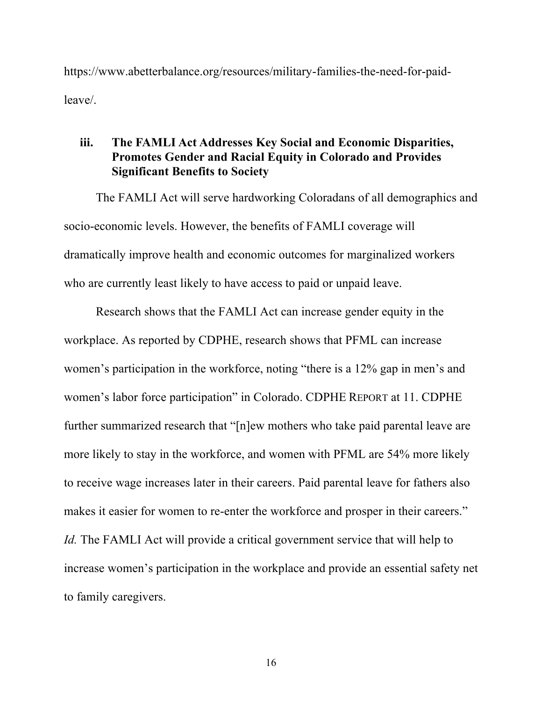https://www.abetterbalance.org/resources/military-families-the-need-for-paidleave/.

## **iii. The FAMLI Act Addresses Key Social and Economic Disparities, Promotes Gender and Racial Equity in Colorado and Provides Significant Benefits to Society**

The FAMLI Act will serve hardworking Coloradans of all demographics and socio-economic levels. However, the benefits of FAMLI coverage will dramatically improve health and economic outcomes for marginalized workers who are currently least likely to have access to paid or unpaid leave.

Research shows that the FAMLI Act can increase gender equity in the workplace. As reported by CDPHE, research shows that PFML can increase women's participation in the workforce, noting "there is a 12% gap in men's and women's labor force participation" in Colorado. CDPHE REPORT at 11. CDPHE further summarized research that "[n]ew mothers who take paid parental leave are more likely to stay in the workforce, and women with PFML are 54% more likely to receive wage increases later in their careers. Paid parental leave for fathers also makes it easier for women to re-enter the workforce and prosper in their careers." *Id.* The FAMLI Act will provide a critical government service that will help to increase women's participation in the workplace and provide an essential safety net to family caregivers.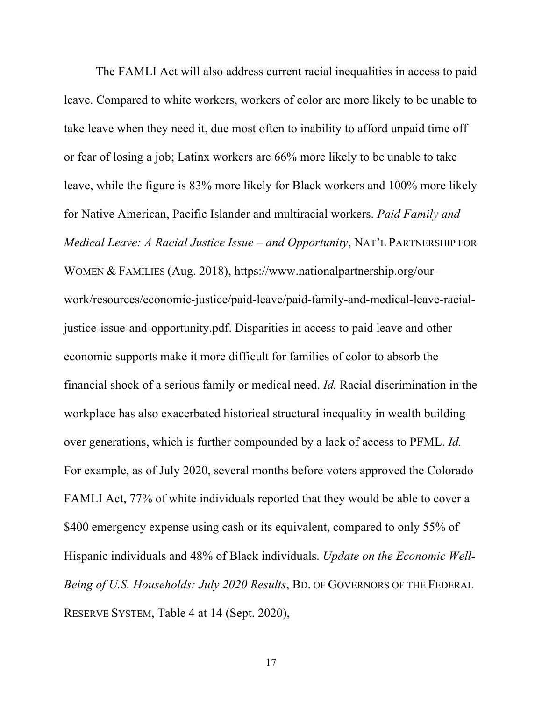The FAMLI Act will also address current racial inequalities in access to paid leave. Compared to white workers, workers of color are more likely to be unable to take leave when they need it, due most often to inability to afford unpaid time off or fear of losing a job; Latinx workers are 66% more likely to be unable to take leave, while the figure is 83% more likely for Black workers and 100% more likely for Native American, Pacific Islander and multiracial workers. *Paid Family and Medical Leave: A Racial Justice Issue – and Opportunity*, NAT'L PARTNERSHIP FOR WOMEN & FAMILIES (Aug. 2018), https://www.nationalpartnership.org/ourwork/resources/economic-justice/paid-leave/paid-family-and-medical-leave-racialjustice-issue-and-opportunity.pdf. Disparities in access to paid leave and other economic supports make it more difficult for families of color to absorb the financial shock of a serious family or medical need. *Id.* Racial discrimination in the workplace has also exacerbated historical structural inequality in wealth building over generations, which is further compounded by a lack of access to PFML. *Id.* For example, as of July 2020, several months before voters approved the Colorado FAMLI Act, 77% of white individuals reported that they would be able to cover a \$400 emergency expense using cash or its equivalent, compared to only 55% of Hispanic individuals and 48% of Black individuals. *Update on the Economic Well-Being of U.S. Households: July 2020 Results*, BD. OF GOVERNORS OF THE FEDERAL RESERVE SYSTEM, Table 4 at 14 (Sept. 2020),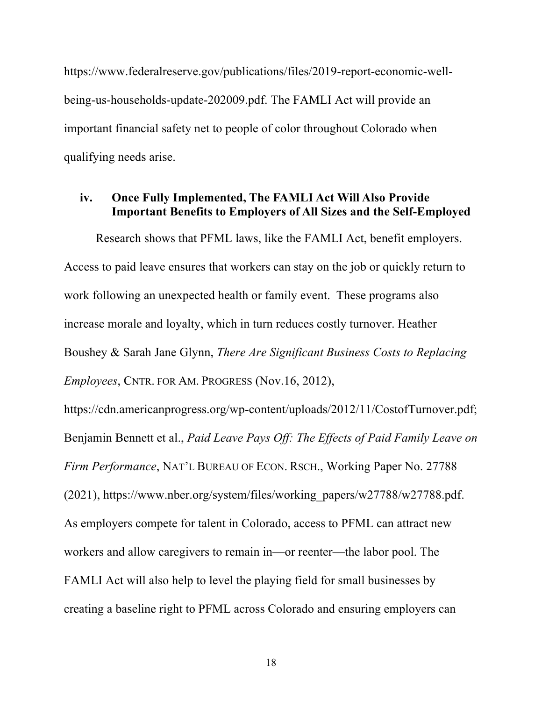https://www.federalreserve.gov/publications/files/2019-report-economic-wellbeing-us-households-update-202009.pdf. The FAMLI Act will provide an important financial safety net to people of color throughout Colorado when qualifying needs arise.

## **iv. Once Fully Implemented, The FAMLI Act Will Also Provide Important Benefits to Employers of All Sizes and the Self-Employed**

Research shows that PFML laws, like the FAMLI Act, benefit employers. Access to paid leave ensures that workers can stay on the job or quickly return to work following an unexpected health or family event. These programs also increase morale and loyalty, which in turn reduces costly turnover. Heather Boushey & Sarah Jane Glynn, *There Are Significant Business Costs to Replacing Employees*, CNTR. FOR AM. PROGRESS (Nov.16, 2012),

https://cdn.americanprogress.org/wp-content/uploads/2012/11/CostofTurnover.pdf; Benjamin Bennett et al., *Paid Leave Pays Off: The Effects of Paid Family Leave on Firm Performance*, NAT'L BUREAU OF ECON. RSCH., Working Paper No. 27788 (2021), https://www.nber.org/system/files/working\_papers/w27788/w27788.pdf. As employers compete for talent in Colorado, access to PFML can attract new workers and allow caregivers to remain in—or reenter—the labor pool. The FAMLI Act will also help to level the playing field for small businesses by creating a baseline right to PFML across Colorado and ensuring employers can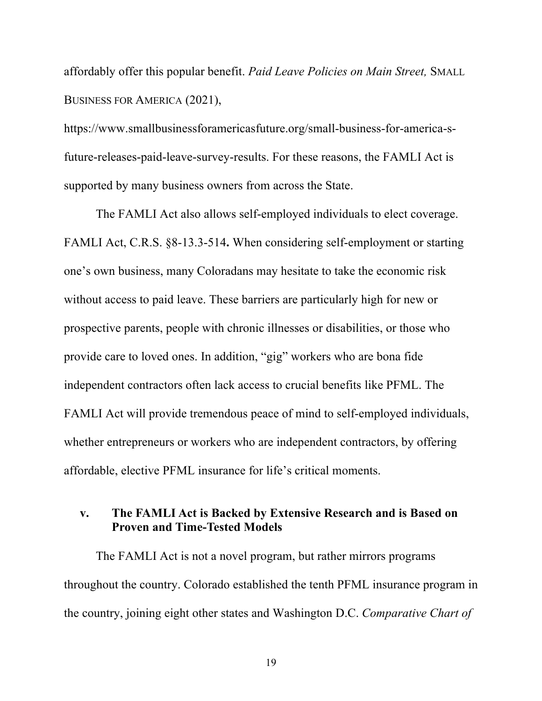affordably offer this popular benefit. *Paid Leave Policies on Main Street,* SMALL BUSINESS FOR AMERICA (2021),

https://www.smallbusinessforamericasfuture.org/small-business-for-america-sfuture-releases-paid-leave-survey-results. For these reasons, the FAMLI Act is supported by many business owners from across the State.

The FAMLI Act also allows self-employed individuals to elect coverage. FAMLI Act, C.R.S. §8-13.3-514**.** When considering self-employment or starting one's own business, many Coloradans may hesitate to take the economic risk without access to paid leave. These barriers are particularly high for new or prospective parents, people with chronic illnesses or disabilities, or those who provide care to loved ones. In addition, "gig" workers who are bona fide independent contractors often lack access to crucial benefits like PFML. The FAMLI Act will provide tremendous peace of mind to self-employed individuals, whether entrepreneurs or workers who are independent contractors, by offering affordable, elective PFML insurance for life's critical moments.

## **v. The FAMLI Act is Backed by Extensive Research and is Based on Proven and Time-Tested Models**

The FAMLI Act is not a novel program, but rather mirrors programs throughout the country. Colorado established the tenth PFML insurance program in the country, joining eight other states and Washington D.C. *Comparative Chart of*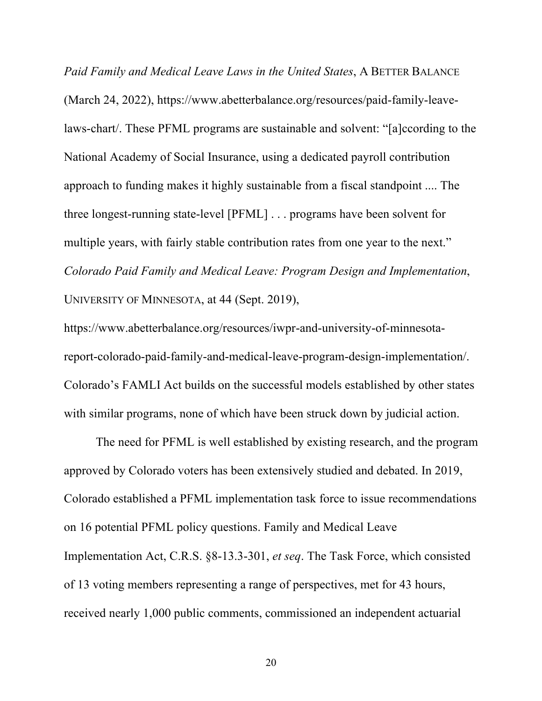*Paid Family and Medical Leave Laws in the United States*, A BETTER BALANCE (March 24, 2022), https://www.abetterbalance.org/resources/paid-family-leavelaws-chart/. These PFML programs are sustainable and solvent: "[a]ccording to the National Academy of Social Insurance, using a dedicated payroll contribution approach to funding makes it highly sustainable from a fiscal standpoint .... The three longest-running state-level [PFML] . . . programs have been solvent for multiple years, with fairly stable contribution rates from one year to the next." *Colorado Paid Family and Medical Leave: Program Design and Implementation*, UNIVERSITY OF MINNESOTA, at 44 (Sept. 2019),

https://www.abetterbalance.org/resources/iwpr-and-university-of-minnesotareport-colorado-paid-family-and-medical-leave-program-design-implementation/. Colorado's FAMLI Act builds on the successful models established by other states with similar programs, none of which have been struck down by judicial action.

The need for PFML is well established by existing research, and the program approved by Colorado voters has been extensively studied and debated. In 2019, Colorado established a PFML implementation task force to issue recommendations on 16 potential PFML policy questions. Family and Medical Leave Implementation Act, C.R.S. §8-13.3-301, *et seq*. The Task Force, which consisted of 13 voting members representing a range of perspectives, met for 43 hours, received nearly 1,000 public comments, commissioned an independent actuarial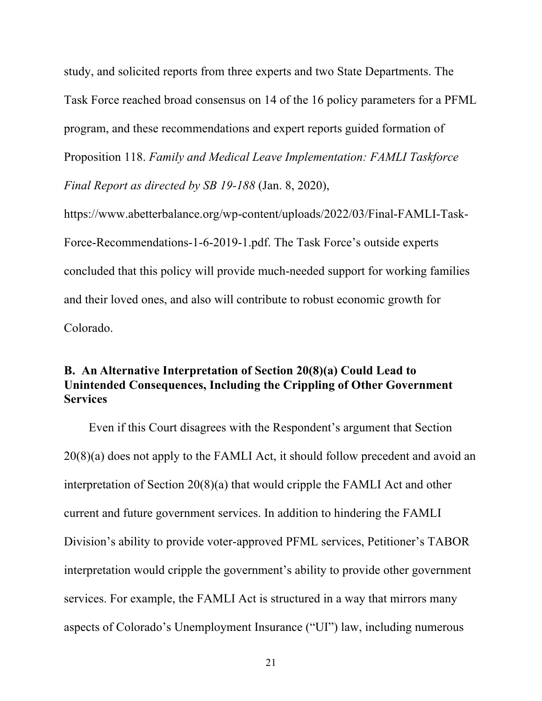study, and solicited reports from three experts and two State Departments. The Task Force reached broad consensus on 14 of the 16 policy parameters for a PFML program, and these recommendations and expert reports guided formation of Proposition 118. *Family and Medical Leave Implementation: FAMLI Taskforce Final Report as directed by SB 19-188* (Jan. 8, 2020),

https://www.abetterbalance.org/wp-content/uploads/2022/03/Final-FAMLI-Task-Force-Recommendations-1-6-2019-1.pdf. The Task Force's outside experts concluded that this policy will provide much-needed support for working families and their loved ones, and also will contribute to robust economic growth for Colorado.

# **B. An Alternative Interpretation of Section 20(8)(a) Could Lead to Unintended Consequences, Including the Crippling of Other Government Services**

Even if this Court disagrees with the Respondent's argument that Section 20(8)(a) does not apply to the FAMLI Act, it should follow precedent and avoid an interpretation of Section 20(8)(a) that would cripple the FAMLI Act and other current and future government services. In addition to hindering the FAMLI Division's ability to provide voter-approved PFML services, Petitioner's TABOR interpretation would cripple the government's ability to provide other government services. For example, the FAMLI Act is structured in a way that mirrors many aspects of Colorado's Unemployment Insurance ("UI") law, including numerous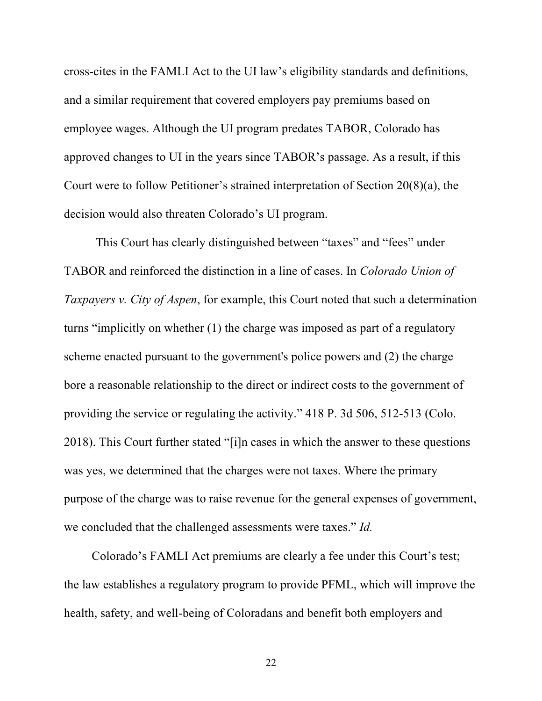cross-cites in the FAMLI Act to the UI law's eligibility standards and definitions, and a similar requirement that covered employers pay premiums based on employee wages. Although the UI program predates TABOR, Colorado has approved changes to UI in the years since TABOR's passage. As a result, if this Court were to follow Petitioner's strained interpretation of Section 20(8)(a), the decision would also threaten Colorado's UI program.

This Court has clearly distinguished between "taxes" and "fees" under TABOR and reinforced the distinction in a line of cases. In *Colorado Union of Taxpayers v. City of Aspen*, for example, this Court noted that such a determination turns "implicitly on whether (1) the charge was imposed as part of a regulatory scheme enacted pursuant to the government's police powers and (2) the charge bore a reasonable relationship to the direct or indirect costs to the government of providing the service or regulating the activity." 418 P. 3d 506, 512-513 (Colo. 2018). This Court further stated "[i]n cases in which the answer to these questions was yes, we determined that the charges were not taxes. Where the primary purpose of the charge was to raise revenue for the general expenses of government, we concluded that the challenged assessments were taxes." *Id.*

Colorado's FAMLI Act premiums are clearly a fee under this Court's test; the law establishes a regulatory program to provide PFML, which will improve the health, safety, and well-being of Coloradans and benefit both employers and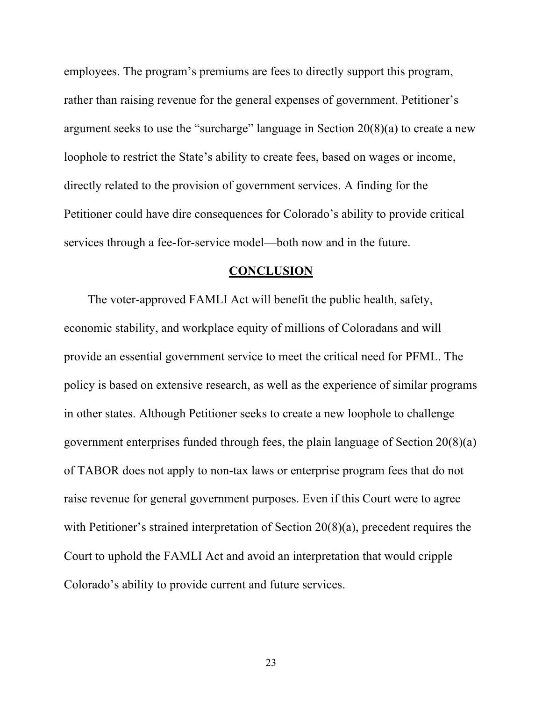employees. The program's premiums are fees to directly support this program, rather than raising revenue for the general expenses of government. Petitioner's argument seeks to use the "surcharge" language in Section  $20(8)(a)$  to create a new loophole to restrict the State's ability to create fees, based on wages or income, directly related to the provision of government services. A finding for the Petitioner could have dire consequences for Colorado's ability to provide critical services through a fee-for-service model—both now and in the future.

#### **CONCLUSION**

The voter-approved FAMLI Act will benefit the public health, safety, economic stability, and workplace equity of millions of Coloradans and will provide an essential government service to meet the critical need for PFML. The policy is based on extensive research, as well as the experience of similar programs in other states. Although Petitioner seeks to create a new loophole to challenge government enterprises funded through fees, the plain language of Section 20(8)(a) of TABOR does not apply to non-tax laws or enterprise program fees that do not raise revenue for general government purposes. Even if this Court were to agree with Petitioner's strained interpretation of Section 20(8)(a), precedent requires the Court to uphold the FAMLI Act and avoid an interpretation that would cripple Colorado's ability to provide current and future services.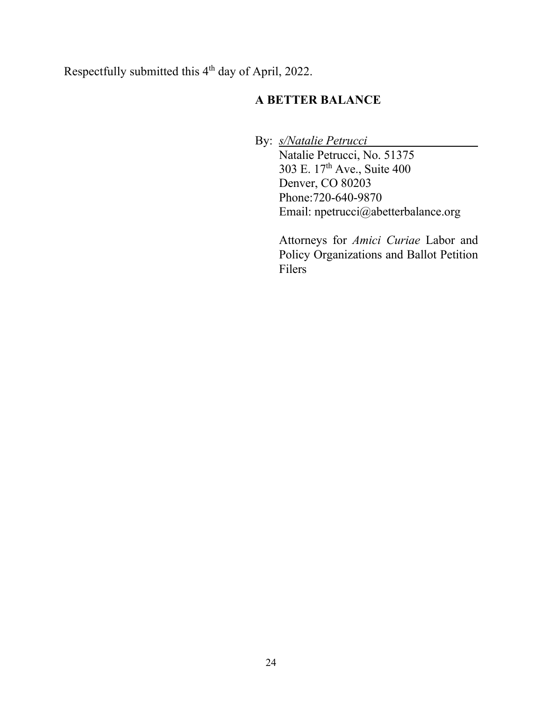Respectfully submitted this 4<sup>th</sup> day of April, 2022.

# **A BETTER BALANCE**

By: *s/Natalie Petrucci*

Natalie Petrucci, No. 51375 303 E. 17th Ave., Suite 400 Denver, CO 80203 Phone:720-640-9870 Email: npetrucci@abetterbalance.org

Attorneys for *Amici Curiae* Labor and Policy Organizations and Ballot Petition Filers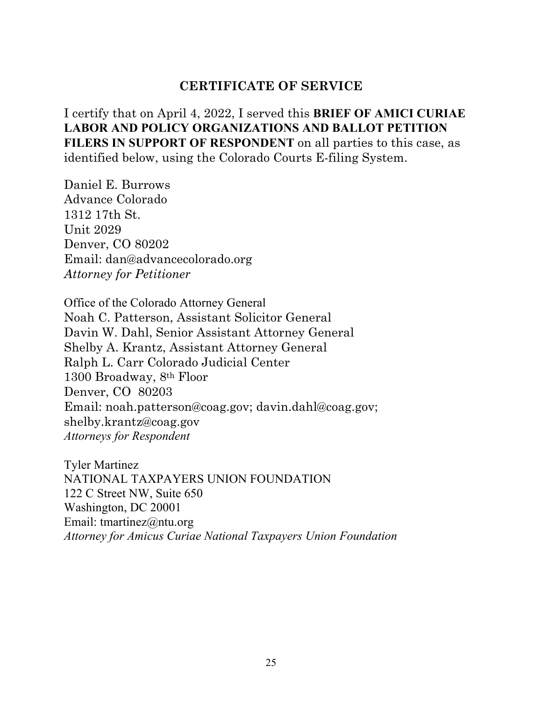# **CERTIFICATE OF SERVICE**

I certify that on April 4, 2022, I served this **BRIEF OF AMICI CURIAE LABOR AND POLICY ORGANIZATIONS AND BALLOT PETITION FILERS IN SUPPORT OF RESPONDENT** on all parties to this case, as identified below, using the Colorado Courts E-filing System.

Daniel E. Burrows Advance Colorado 1312 17th St. Unit 2029 Denver, CO 80202 Email: dan@advancecolorado.org *Attorney for Petitioner*

Office of the Colorado Attorney General Noah C. Patterson, Assistant Solicitor General Davin W. Dahl, Senior Assistant Attorney General Shelby A. Krantz, Assistant Attorney General Ralph L. Carr Colorado Judicial Center 1300 Broadway, 8th Floor Denver, CO 80203 Email: noah.patterson@coag.gov; davin.dahl@coag.gov; shelby.krantz@coag.gov *Attorneys for Respondent*

Tyler Martinez NATIONAL TAXPAYERS UNION FOUNDATION 122 C Street NW, Suite 650 Washington, DC 20001 Email: tmartinez $\omega$ ntu.org *Attorney for Amicus Curiae National Taxpayers Union Foundation*